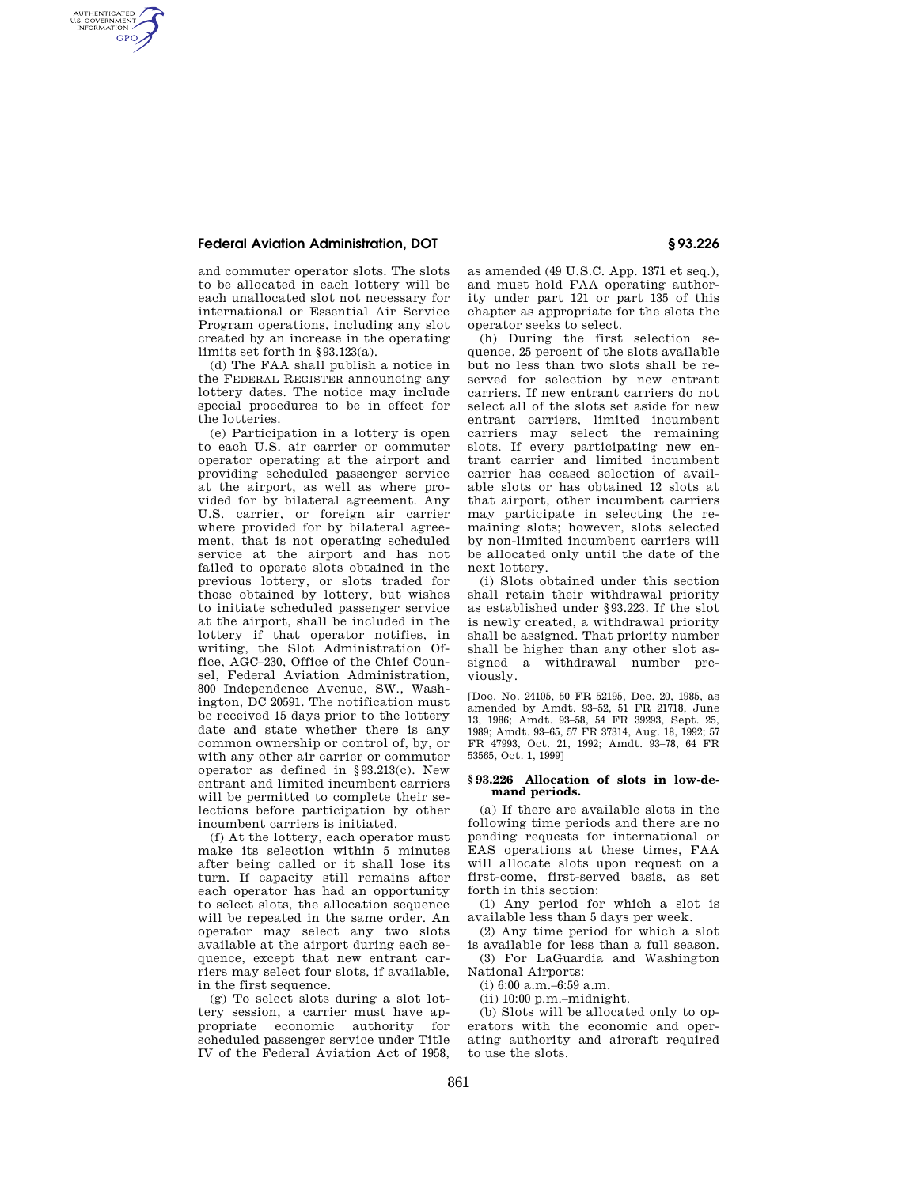## **Federal Aviation Administration, DOT § 93.226**

AUTHENTICATED<br>U.S. GOVERNMENT<br>INFORMATION **GPO** 

> and commuter operator slots. The slots to be allocated in each lottery will be each unallocated slot not necessary for international or Essential Air Service Program operations, including any slot created by an increase in the operating limits set forth in §93.123(a).

> (d) The FAA shall publish a notice in the FEDERAL REGISTER announcing any lottery dates. The notice may include special procedures to be in effect for the lotteries.

(e) Participation in a lottery is open to each U.S. air carrier or commuter operator operating at the airport and providing scheduled passenger service at the airport, as well as where provided for by bilateral agreement. Any U.S. carrier, or foreign air carrier where provided for by bilateral agreement, that is not operating scheduled service at the airport and has not failed to operate slots obtained in the previous lottery, or slots traded for those obtained by lottery, but wishes to initiate scheduled passenger service at the airport, shall be included in the lottery if that operator notifies, in writing, the Slot Administration Office, AGC–230, Office of the Chief Counsel, Federal Aviation Administration, 800 Independence Avenue, SW., Washington, DC 20591. The notification must be received 15 days prior to the lottery date and state whether there is any common ownership or control of, by, or with any other air carrier or commuter operator as defined in §93.213(c). New entrant and limited incumbent carriers will be permitted to complete their selections before participation by other incumbent carriers is initiated.

(f) At the lottery, each operator must make its selection within 5 minutes after being called or it shall lose its turn. If capacity still remains after each operator has had an opportunity to select slots, the allocation sequence will be repeated in the same order. An operator may select any two slots available at the airport during each sequence, except that new entrant carriers may select four slots, if available, in the first sequence.

(g) To select slots during a slot lottery session, a carrier must have appropriate economic authority for scheduled passenger service under Title IV of the Federal Aviation Act of 1958,

as amended (49 U.S.C. App. 1371 et seq.), and must hold FAA operating authority under part 121 or part 135 of this chapter as appropriate for the slots the operator seeks to select.

(h) During the first selection sequence, 25 percent of the slots available but no less than two slots shall be reserved for selection by new entrant carriers. If new entrant carriers do not select all of the slots set aside for new entrant carriers, limited incumbent carriers may select the remaining slots. If every participating new entrant carrier and limited incumbent carrier has ceased selection of available slots or has obtained 12 slots at that airport, other incumbent carriers may participate in selecting the remaining slots; however, slots selected by non-limited incumbent carriers will be allocated only until the date of the next lottery.

(i) Slots obtained under this section shall retain their withdrawal priority as established under §93.223. If the slot is newly created, a withdrawal priority shall be assigned. That priority number shall be higher than any other slot assigned a withdrawal number previously.

[Doc. No. 24105, 50 FR 52195, Dec. 20, 1985, as amended by Amdt. 93–52, 51 FR 21718, June 13, 1986; Amdt. 93–58, 54 FR 39293, Sept. 25, 1989; Amdt. 93–65, 57 FR 37314, Aug. 18, 1992; 57 FR 47993, Oct. 21, 1992; Amdt. 93–78, 64 FR 53565, Oct. 1, 1999]

## **§ 93.226 Allocation of slots in low-demand periods.**

(a) If there are available slots in the following time periods and there are no pending requests for international or EAS operations at these times, FAA will allocate slots upon request on a first-come, first-served basis, as set forth in this section:

(1) Any period for which a slot is available less than 5 days per week.

(2) Any time period for which a slot is available for less than a full season.

(3) For LaGuardia and Washington National Airports:

(i) 6:00 a.m.–6:59 a.m.

(ii) 10:00 p.m.–midnight.

(b) Slots will be allocated only to operators with the economic and operating authority and aircraft required to use the slots.